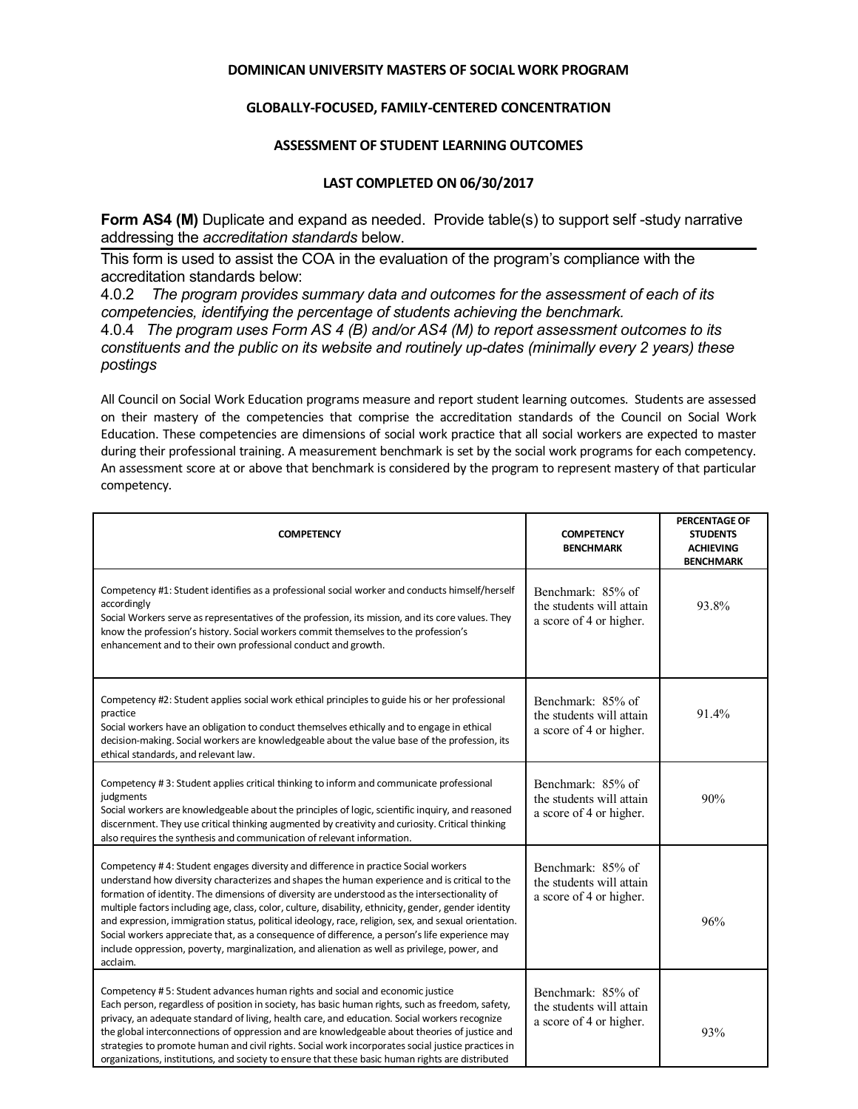## **DOMINICAN UNIVERSITY MASTERS OF SOCIAL WORK PROGRAM**

## **GLOBALLY-FOCUSED, FAMILY-CENTERED CONCENTRATION**

## **ASSESSMENT OF STUDENT LEARNING OUTCOMES**

## **LAST COMPLETED ON 06/30/2017**

**Form AS4 (M)** Duplicate and expand as needed. Provide table(s) to support self-study narrative addressing the *accreditation standards* below.

This form is used to assist the COA in the evaluation of the program's compliance with the accreditation standards below:

4.0.2 *The program provides summary data and outcomes for the assessment of each of its competencies, identifying the percentage of students achieving the benchmark.*

4.0.4 *The program uses Form AS 4 (B) and/or AS4 (M) to report assessment outcomes to its constituents and the public on its website and routinely up-dates (minimally every 2 years) these postings*

All Council on Social Work Education programs measure and report student learning outcomes. Students are assessed on their mastery of the competencies that comprise the accreditation standards of the Council on Social Work Education. These competencies are dimensions of social work practice that all social workers are expected to master during their professional training. A measurement benchmark is set by the social work programs for each competency. An assessment score at or above that benchmark is considered by the program to represent mastery of that particular competency.

| <b>COMPETENCY</b>                                                                                                                                                                                                                                                                                                                                                                                                                                                                                                                                                                                                                                                                                                    | <b>COMPETENCY</b><br><b>BENCHMARK</b>                                    | PERCENTAGE OF<br><b>STUDENTS</b><br><b>ACHIEVING</b><br><b>BENCHMARK</b> |
|----------------------------------------------------------------------------------------------------------------------------------------------------------------------------------------------------------------------------------------------------------------------------------------------------------------------------------------------------------------------------------------------------------------------------------------------------------------------------------------------------------------------------------------------------------------------------------------------------------------------------------------------------------------------------------------------------------------------|--------------------------------------------------------------------------|--------------------------------------------------------------------------|
| Competency #1: Student identifies as a professional social worker and conducts himself/herself<br>accordingly<br>Social Workers serve as representatives of the profession, its mission, and its core values. They<br>know the profession's history. Social workers commit themselves to the profession's<br>enhancement and to their own professional conduct and growth.                                                                                                                                                                                                                                                                                                                                           | Benchmark: 85% of<br>the students will attain<br>a score of 4 or higher. | 93.8%                                                                    |
| Competency #2: Student applies social work ethical principles to guide his or her professional<br>practice<br>Social workers have an obligation to conduct themselves ethically and to engage in ethical<br>decision-making. Social workers are knowledgeable about the value base of the profession, its<br>ethical standards, and relevant law.                                                                                                                                                                                                                                                                                                                                                                    | Benchmark: 85% of<br>the students will attain<br>a score of 4 or higher. | 91.4%                                                                    |
| Competency #3: Student applies critical thinking to inform and communicate professional<br>judgments<br>Social workers are knowledgeable about the principles of logic, scientific inquiry, and reasoned<br>discernment. They use critical thinking augmented by creativity and curiosity. Critical thinking<br>also requires the synthesis and communication of relevant information.                                                                                                                                                                                                                                                                                                                               | Benchmark: 85% of<br>the students will attain<br>a score of 4 or higher. | 90%                                                                      |
| Competency #4: Student engages diversity and difference in practice Social workers<br>understand how diversity characterizes and shapes the human experience and is critical to the<br>formation of identity. The dimensions of diversity are understood as the intersectionality of<br>multiple factors including age, class, color, culture, disability, ethnicity, gender, gender identity<br>and expression, immigration status, political ideology, race, religion, sex, and sexual orientation.<br>Social workers appreciate that, as a consequence of difference, a person's life experience may<br>include oppression, poverty, marginalization, and alienation as well as privilege, power, and<br>acclaim. | Benchmark: 85% of<br>the students will attain<br>a score of 4 or higher. | 96%                                                                      |
| Competency #5: Student advances human rights and social and economic justice<br>Each person, regardless of position in society, has basic human rights, such as freedom, safety,<br>privacy, an adequate standard of living, health care, and education. Social workers recognize<br>the global interconnections of oppression and are knowledgeable about theories of justice and<br>strategies to promote human and civil rights. Social work incorporates social justice practices in<br>organizations, institutions, and society to ensure that these basic human rights are distributed                                                                                                                         | Benchmark: 85% of<br>the students will attain<br>a score of 4 or higher. | 93%                                                                      |